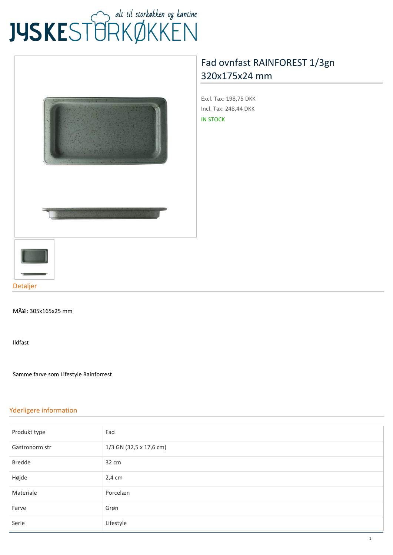# JUSKEST TRKØKKEN



## **[Fad ovnfast RAINFOREST 1/3gn](https://www.jyskestorkokken.dk/fad-ovnfast-rainforest-1-3gn-320x175x24-mm-gb-gar9007.html) [320x175x24 mm](https://www.jyskestorkokken.dk/fad-ovnfast-rainforest-1-3gn-320x175x24-mm-gb-gar9007.html)**

**Excl. Tax:** 198,75 DKK **Incl. Tax:** 248,44 DKK IN STOCK



MÃ¥l: 305x165x25 mm

Ildfast

Samme farve som Lifestyle Rainforrest

#### **Yderligere information**

| Produkt type   | Fad                     |
|----------------|-------------------------|
| Gastronorm str | 1/3 GN (32,5 x 17,6 cm) |
| <b>Bredde</b>  | 32 cm                   |
| Højde          | $2,4$ cm                |
| Materiale      | Porcelæn                |
| Farve          | Grøn                    |
| Serie          | Lifestyle               |
|                |                         |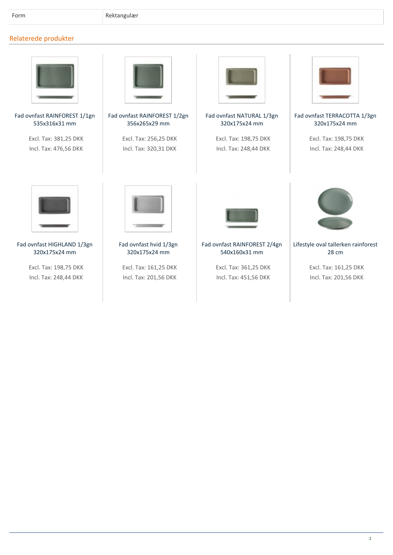### **Relaterede produkter**



**[Fad ovnfast RAINFOREST 1/1gn](https://www.jyskestorkokken.dk/) [535x316x31 mm](https://www.jyskestorkokken.dk/)**

> **Excl. Tax:** 381,25 DKK **Incl. Tax:** 476,56 DKK



**[Fad ovnfast RAINFOREST 1/2gn](https://www.jyskestorkokken.dk/) [356x265x29 mm](https://www.jyskestorkokken.dk/)**

> **Excl. Tax:** 256,25 DKK **Incl. Tax:** 320,31 DKK



**[Fad ovnfast NATURAL 1/3gn](https://www.jyskestorkokken.dk/) [320x175x24 mm](https://www.jyskestorkokken.dk/)**

> **Excl. Tax:** 198,75 DKK **Incl. Tax:** 248,44 DKK



**[Fad ovnfast TERRACOTTA 1/3gn](https://www.jyskestorkokken.dk/) [320x175x24 mm](https://www.jyskestorkokken.dk/)**

**Excl. Tax:** 198,75 DKK **Incl. Tax:** 248,44 DKK



**[Fad ovnfast HIGHLAND 1/3gn](https://www.jyskestorkokken.dk/) [320x175x24 mm](https://www.jyskestorkokken.dk/)**

**Excl. Tax:** 198,75 DKK **Incl. Tax:** 248,44 DKK



**[Fad ovnfast hvid 1/3gn](https://www.jyskestorkokken.dk/) [320x175x24 mm](https://www.jyskestorkokken.dk/)**

**Excl. Tax:** 161,25 DKK **Incl. Tax:** 201,56 DKK



**[Fad ovnfast RAINFOREST 2/4gn](https://www.jyskestorkokken.dk/) [540x160x31 mm](https://www.jyskestorkokken.dk/)**

**Excl. Tax:** 361,25 DKK **Incl. Tax:** 451,56 DKK



**[Lifestyle oval tallerken rainforest](https://www.jyskestorkokken.dk/) [28 cm](https://www.jyskestorkokken.dk/)**

**Excl. Tax:** 161,25 DKK **Incl. Tax:** 201,56 DKK